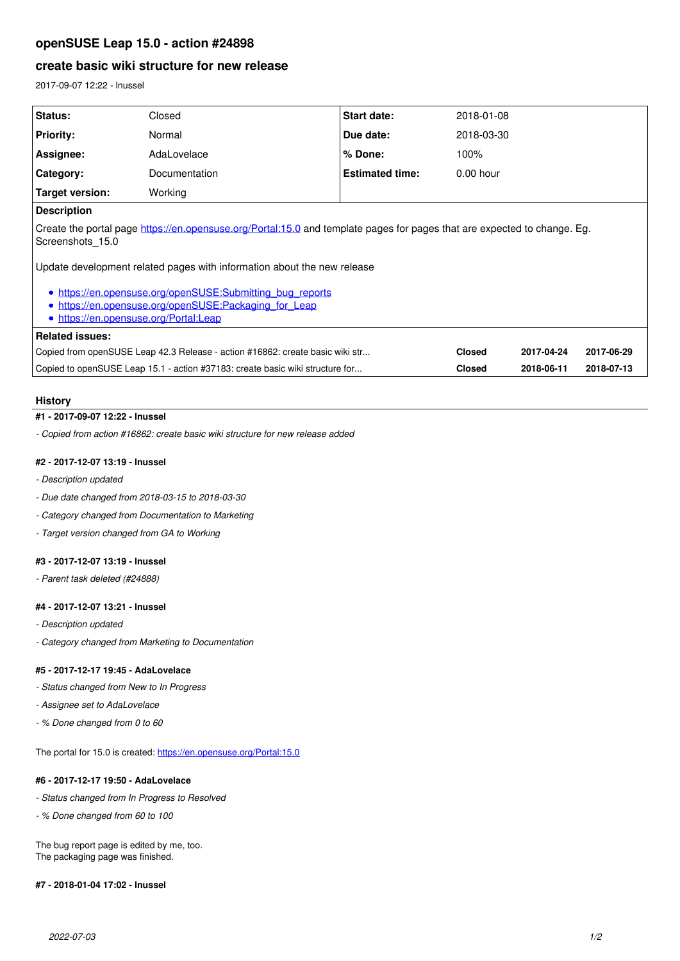# **openSUSE Leap 15.0 - action #24898**

# **create basic wiki structure for new release**

2017-09-07 12:22 - lnussel

| Status:                                                                                                                                                                | Closed        | <b>Start date:</b>     | 2018-01-08    |            |            |
|------------------------------------------------------------------------------------------------------------------------------------------------------------------------|---------------|------------------------|---------------|------------|------------|
| <b>Priority:</b>                                                                                                                                                       | Normal        | Due date:              | 2018-03-30    |            |            |
| Assignee:                                                                                                                                                              | AdaLovelace   | % Done:                | 100%          |            |            |
| Category:                                                                                                                                                              | Documentation | <b>Estimated time:</b> | $0.00$ hour   |            |            |
| Target version:                                                                                                                                                        | Working       |                        |               |            |            |
| <b>Description</b>                                                                                                                                                     |               |                        |               |            |            |
| Create the portal page https://en.opensuse.org/Portal:15.0 and template pages for pages that are expected to change. Eg.<br>Screenshots 15.0                           |               |                        |               |            |            |
| Update development related pages with information about the new release                                                                                                |               |                        |               |            |            |
| · https://en.opensuse.org/openSUSE:Submitting bug reports<br>https://en.opensuse.org/openSUSE:Packaging for Leap<br>$\bullet$<br>• https://en.opensuse.org/Portal:Leap |               |                        |               |            |            |
| <b>Related issues:</b>                                                                                                                                                 |               |                        |               |            |            |
| Copied from openSUSE Leap 42.3 Release - action #16862: create basic wiki str                                                                                          |               |                        | <b>Closed</b> | 2017-04-24 | 2017-06-29 |
| Copied to openSUSE Leap 15.1 - action #37183: create basic wiki structure for                                                                                          |               |                        | <b>Closed</b> | 2018-06-11 | 2018-07-13 |

#### **History**

## **#1 - 2017-09-07 12:22 - lnussel**

*- Copied from action #16862: create basic wiki structure for new release added*

## **#2 - 2017-12-07 13:19 - lnussel**

- *Description updated*
- *Due date changed from 2018-03-15 to 2018-03-30*
- *Category changed from Documentation to Marketing*
- *Target version changed from GA to Working*

#### **#3 - 2017-12-07 13:19 - lnussel**

*- Parent task deleted (#24888)*

#### **#4 - 2017-12-07 13:21 - lnussel**

- *Description updated*
- *Category changed from Marketing to Documentation*

#### **#5 - 2017-12-17 19:45 - AdaLovelace**

- *Status changed from New to In Progress*
- *Assignee set to AdaLovelace*
- *% Done changed from 0 to 60*

The portal for 15.0 is created: <https://en.opensuse.org/Portal:15.0>

### **#6 - 2017-12-17 19:50 - AdaLovelace**

- *Status changed from In Progress to Resolved*
- *% Done changed from 60 to 100*

The bug report page is edited by me, too. The packaging page was finished.

#### **#7 - 2018-01-04 17:02 - lnussel**